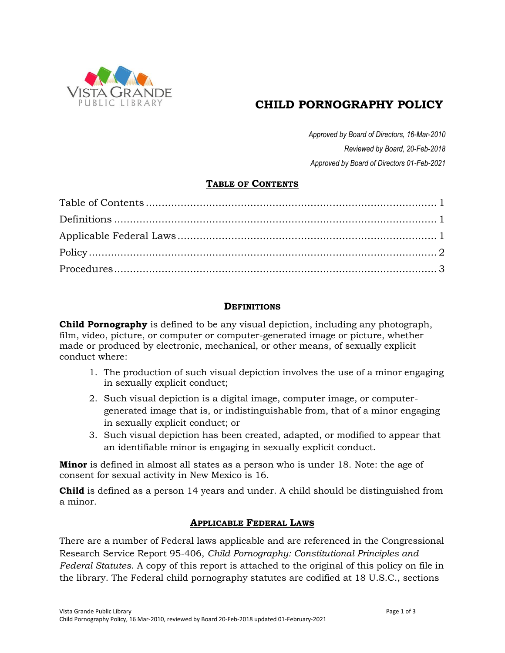

# **CHILD PORNOGRAPHY POLICY**

*Approved by Board of Directors, 16-Mar-2010 Reviewed by Board, 20-Feb-2018 Approved by Board of Directors 01-Feb-2021*

## **TABLE OF CONTENTS**

<span id="page-0-0"></span>

#### **DEFINITIONS**

<span id="page-0-1"></span>**Child Pornography** is defined to be any visual depiction, including any photograph, film, video, picture, or computer or computer-generated image or picture, whether made or produced by electronic, mechanical, or other means, of sexually explicit conduct where:

- 1. The production of such visual depiction involves the use of a minor engaging in sexually explicit conduct;
- 2. Such visual depiction is a digital image, computer image, or computergenerated image that is, or indistinguishable from, that of a minor engaging in sexually explicit conduct; or
- 3. Such visual depiction has been created, adapted, or modified to appear that an identifiable minor is engaging in sexually explicit conduct.

**Minor** is defined in almost all states as a person who is under 18. Note: the age of consent for sexual activity in New Mexico is 16.

<span id="page-0-2"></span>**Child** is defined as a person 14 years and under. A child should be distinguished from a minor.

#### **APPLICABLE FEDERAL LAWS**

There are a number of Federal laws applicable and are referenced in the Congressional Research Service Report 95-406, *Child Pornography: Constitutional Principles and Federal Statutes*. A copy of this report is attached to the original of this policy on file in the library. The Federal child pornography statutes are codified at 18 U.S.C., sections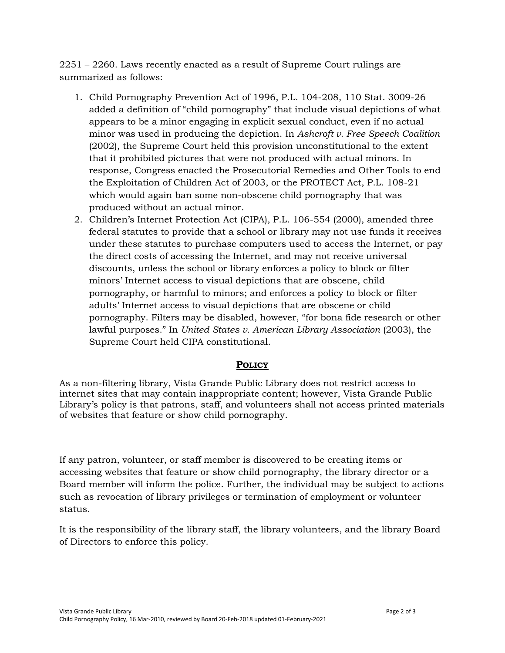2251 – 2260. Laws recently enacted as a result of Supreme Court rulings are summarized as follows:

- 1. Child Pornography Prevention Act of 1996, P.L. 104-208, 110 Stat. 3009-26 added a definition of "child pornography" that include visual depictions of what appears to be a minor engaging in explicit sexual conduct, even if no actual minor was used in producing the depiction. In *Ashcroft v. Free Speech Coalition* (2002), the Supreme Court held this provision unconstitutional to the extent that it prohibited pictures that were not produced with actual minors. In response, Congress enacted the Prosecutorial Remedies and Other Tools to end the Exploitation of Children Act of 2003, or the PROTECT Act, P.L. 108-21 which would again ban some non-obscene child pornography that was produced without an actual minor.
- 2. Children's Internet Protection Act (CIPA), P.L. 106-554 (2000), amended three federal statutes to provide that a school or library may not use funds it receives under these statutes to purchase computers used to access the Internet, or pay the direct costs of accessing the Internet, and may not receive universal discounts, unless the school or library enforces a policy to block or filter minors' Internet access to visual depictions that are obscene, child pornography, or harmful to minors; and enforces a policy to block or filter adults' Internet access to visual depictions that are obscene or child pornography. Filters may be disabled, however, "for bona fide research or other lawful purposes." In *United States v. American Library Association* (2003), the Supreme Court held CIPA constitutional.

### **POLICY**

<span id="page-1-0"></span>As a non-filtering library, Vista Grande Public Library does not restrict access to internet sites that may contain inappropriate content; however, Vista Grande Public Library's policy is that patrons, staff, and volunteers shall not access printed materials of websites that feature or show child pornography.

If any patron, volunteer, or staff member is discovered to be creating items or accessing websites that feature or show child pornography, the library director or a Board member will inform the police. Further, the individual may be subject to actions such as revocation of library privileges or termination of employment or volunteer status.

It is the responsibility of the library staff, the library volunteers, and the library Board of Directors to enforce this policy.